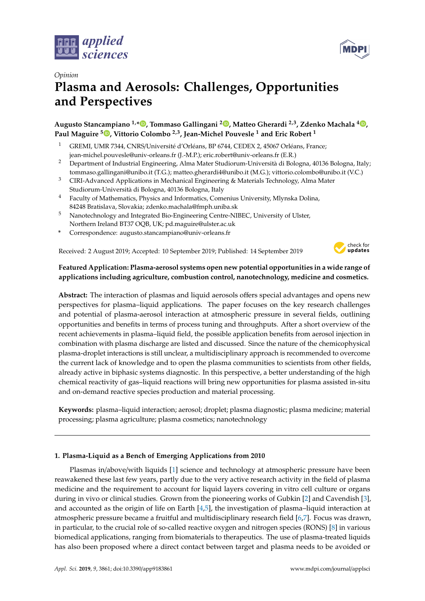



# *Opinion* **Plasma and Aerosols: Challenges, Opportunities and Perspectives**

## **Augusto Stancampiano 1,\* [,](https://orcid.org/0000-0002-7534-1235) Tommaso Gallingani <sup>2</sup> [,](https://orcid.org/0000-0002-1159-3281) Matteo Gherardi 2,3, Zdenko Machala <sup>4</sup> [,](https://orcid.org/0000-0003-1424-1350) Paul Maguire <sup>5</sup> [,](https://orcid.org/0000-0002-2725-4647) Vittorio Colombo 2,3, Jean-Michel Pouvesle <sup>1</sup> and Eric Robert <sup>1</sup>**

- <sup>1</sup> GREMI, UMR 7344, CNRS/Université d'Orléans, BP 6744, CEDEX 2, 45067 Orléans, France; jean-michel.pouvesle@univ-orleans.fr (J.-M.P.); eric.robert@univ-orleans.fr (E.R.)
- <sup>2</sup> Department of Industrial Engineering, Alma Mater Studiorum-Università di Bologna, 40136 Bologna, Italy; tommaso.gallingani@unibo.it (T.G.); matteo.gherardi4@unibo.it (M.G.); vittorio.colombo@unibo.it (V.C.)
- <sup>3</sup> CIRI-Advanced Applications in Mechanical Engineering & Materials Technology, Alma Mater Studiorum-Università di Bologna, 40136 Bologna, Italy
- <sup>4</sup> Faculty of Mathematics, Physics and Informatics, Comenius University, Mlynska Dolina, 84248 Bratislava, Slovakia; zdenko.machala@fmph.uniba.sk
- <sup>5</sup> Nanotechnology and Integrated Bio-Engineering Centre-NIBEC, University of Ulster, Northern Ireland BT37 OQB, UK; pd.maguire@ulster.ac.uk
- **\*** Correspondence: augusto.stancampiano@univ-orleans.fr

Received: 2 August 2019; Accepted: 10 September 2019; Published: 14 September 2019



## **Featured Application: Plasma-aerosol systems open new potential opportunities in a wide range of applications including agriculture, combustion control, nanotechnology, medicine and cosmetics.**

**Abstract:** The interaction of plasmas and liquid aerosols offers special advantages and opens new perspectives for plasma–liquid applications. The paper focuses on the key research challenges and potential of plasma-aerosol interaction at atmospheric pressure in several fields, outlining opportunities and benefits in terms of process tuning and throughputs. After a short overview of the recent achievements in plasma–liquid field, the possible application benefits from aerosol injection in combination with plasma discharge are listed and discussed. Since the nature of the chemicophysical plasma-droplet interactions is still unclear, a multidisciplinary approach is recommended to overcome the current lack of knowledge and to open the plasma communities to scientists from other fields, already active in biphasic systems diagnostic. In this perspective, a better understanding of the high chemical reactivity of gas–liquid reactions will bring new opportunities for plasma assisted in-situ and on-demand reactive species production and material processing.

**Keywords:** plasma–liquid interaction; aerosol; droplet; plasma diagnostic; plasma medicine; material processing; plasma agriculture; plasma cosmetics; nanotechnology

## **1. Plasma-Liquid as a Bench of Emerging Applications from 2010**

Plasmas in/above/with liquids [\[1\]](#page-6-0) science and technology at atmospheric pressure have been reawakened these last few years, partly due to the very active research activity in the field of plasma medicine and the requirement to account for liquid layers covering in vitro cell culture or organs during in vivo or clinical studies. Grown from the pioneering works of Gubkin [\[2\]](#page-6-1) and Cavendish [\[3\]](#page-6-2), and accounted as the origin of life on Earth [\[4,](#page-6-3)[5\]](#page-6-4), the investigation of plasma–liquid interaction at atmospheric pressure became a fruitful and multidisciplinary research field [\[6](#page-6-5)[,7\]](#page-6-6). Focus was drawn, in particular, to the crucial role of so-called reactive oxygen and nitrogen species (RONS) [\[8\]](#page-6-7) in various biomedical applications, ranging from biomaterials to therapeutics. The use of plasma-treated liquids has also been proposed where a direct contact between target and plasma needs to be avoided or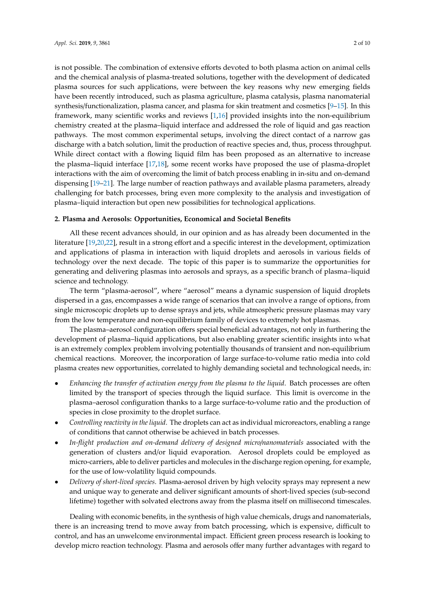is not possible. The combination of extensive efforts devoted to both plasma action on animal cells and the chemical analysis of plasma-treated solutions, together with the development of dedicated plasma sources for such applications, were between the key reasons why new emerging fields have been recently introduced, such as plasma agriculture, plasma catalysis, plasma nanomaterial synthesis/functionalization, plasma cancer, and plasma for skin treatment and cosmetics [\[9](#page-6-8)[–15\]](#page-7-0). In this framework, many scientific works and reviews [\[1](#page-6-0)[,16\]](#page-7-1) provided insights into the non-equilibrium chemistry created at the plasma–liquid interface and addressed the role of liquid and gas reaction pathways. The most common experimental setups, involving the direct contact of a narrow gas discharge with a batch solution, limit the production of reactive species and, thus, process throughput. While direct contact with a flowing liquid film has been proposed as an alternative to increase the plasma–liquid interface [\[17,](#page-7-2)[18\]](#page-7-3), some recent works have proposed the use of plasma-droplet interactions with the aim of overcoming the limit of batch process enabling in in-situ and on-demand dispensing [\[19–](#page-7-4)[21\]](#page-7-5). The large number of reaction pathways and available plasma parameters, already challenging for batch processes, bring even more complexity to the analysis and investigation of plasma–liquid interaction but open new possibilities for technological applications.

### **2. Plasma and Aerosols: Opportunities, Economical and Societal Benefits**

All these recent advances should, in our opinion and as has already been documented in the literature [\[19](#page-7-4)[,20,](#page-7-6)[22\]](#page-7-7), result in a strong effort and a specific interest in the development, optimization and applications of plasma in interaction with liquid droplets and aerosols in various fields of technology over the next decade. The topic of this paper is to summarize the opportunities for generating and delivering plasmas into aerosols and sprays, as a specific branch of plasma–liquid science and technology.

The term "plasma-aerosol", where "aerosol" means a dynamic suspension of liquid droplets dispersed in a gas, encompasses a wide range of scenarios that can involve a range of options, from single microscopic droplets up to dense sprays and jets, while atmospheric pressure plasmas may vary from the low temperature and non-equilibrium family of devices to extremely hot plasmas.

The plasma–aerosol configuration offers special beneficial advantages, not only in furthering the development of plasma–liquid applications, but also enabling greater scientific insights into what is an extremely complex problem involving potentially thousands of transient and non-equilibrium chemical reactions. Moreover, the incorporation of large surface-to-volume ratio media into cold plasma creates new opportunities, correlated to highly demanding societal and technological needs, in:

- *Enhancing the transfer of activation energy from the plasma to the liquid*. Batch processes are often limited by the transport of species through the liquid surface. This limit is overcome in the plasma–aerosol configuration thanks to a large surface-to-volume ratio and the production of species in close proximity to the droplet surface.
- *Controlling reactivity in the liquid*. The droplets can act as individual microreactors, enabling a range of conditions that cannot otherwise be achieved in batch processes.
- *In-flight production and on-demand delivery of designed micro*/*nanomaterials* associated with the generation of clusters and/or liquid evaporation. Aerosol droplets could be employed as micro-carriers, able to deliver particles and molecules in the discharge region opening, for example, for the use of low-volatility liquid compounds.
- *Delivery of short-lived species*. Plasma-aerosol driven by high velocity sprays may represent a new and unique way to generate and deliver significant amounts of short-lived species (sub-second lifetime) together with solvated electrons away from the plasma itself on millisecond timescales.

Dealing with economic benefits, in the synthesis of high value chemicals, drugs and nanomaterials, there is an increasing trend to move away from batch processing, which is expensive, difficult to control, and has an unwelcome environmental impact. Efficient green process research is looking to develop micro reaction technology. Plasma and aerosols offer many further advantages with regard to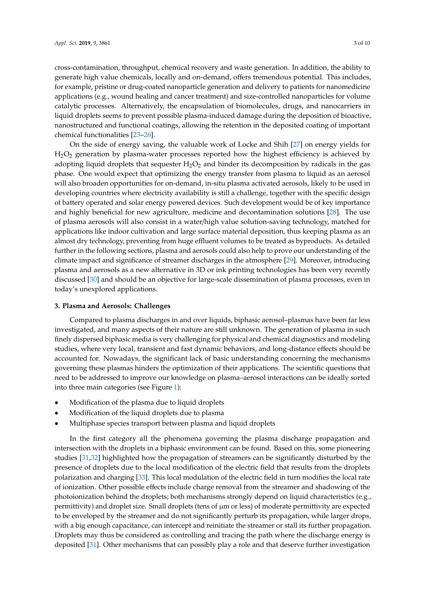cross-contamination, throughput, chemical recovery and waste generation. In addition, the ability to generate high value chemicals, locally and on-demand, offers tremendous potential. This includes, for example, pristine or drug-coated nanoparticle generation and delivery to patients for nanomedicine applications (e.g., wound healing and cancer treatment) and size-controlled nanoparticles for volume catalytic processes. Alternatively, the encapsulation of biomolecules, drugs, and nanocarriers in liquid droplets seems to prevent possible plasma-induced damage during the deposition of bioactive, nanostructured and functional coatings, allowing the retention in the deposited coating of important chemical functionalities [\[23–](#page-7-8)[26\]](#page-7-9).

On the side of energy saving, the valuable work of Locke and Shih [\[27\]](#page-7-10) on energy yields for H2O<sup>2</sup> generation by plasma-water processes reported how the highest efficiency is achieved by adopting liquid droplets that sequester  $H_2O_2$  and hinder its decomposition by radicals in the gas phase. One would expect that optimizing the energy transfer from plasma to liquid as an aerosol will also broaden opportunities for on-demand, in-situ plasma activated aerosols, likely to be used in developing countries where electricity availability is still a challenge, together with the specific design of battery operated and solar energy powered devices. Such development would be of key importance and highly beneficial for new agriculture, medicine and decontamination solutions [\[28\]](#page-7-11). The use of plasma aerosols will also consist in a water/high value solution-saving technology, matched for applications like indoor cultivation and large surface material deposition, thus keeping plasma as an almost dry technology, preventing from huge effluent volumes to be treated as byproducts. As detailed further in the following sections, plasma and aerosols could also help to prove our understanding of the climate impact and significance of streamer discharges in the atmosphere [\[29\]](#page-7-12). Moreover, introducing plasma and aerosols as a new alternative in 3D or ink printing technologies has been very recently discussed [\[30\]](#page-7-13) and should be an objective for large-scale dissemination of plasma processes, even in today's unexplored applications.

#### **3. Plasma and Aerosols: Challenges**

Compared to plasma discharges in and over liquids, biphasic aerosol–plasmas have been far less investigated, and many aspects of their nature are still unknown. The generation of plasma in such finely dispersed biphasic media is very challenging for physical and chemical diagnostics and modeling studies, where very local, transient and fast dynamic behaviors, and long-distance effects should be accounted for. Nowadays, the significant lack of basic understanding concerning the mechanisms governing these plasmas hinders the optimization of their applications. The scientific questions that need to be addressed to improve our knowledge on plasma–aerosol interactions can be ideally sorted into three main categories (see Figure [1\)](#page-3-0):

- Modification of the plasma due to liquid droplets
- Modification of the liquid droplets due to plasma
- Multiphase species transport between plasma and liquid droplets

In the first category all the phenomena governing the plasma discharge propagation and intersection with the droplets in a biphasic environment can be found. Based on this, some pioneering studies [\[31](#page-7-14)[,32\]](#page-7-15) highlighted how the propagation of streamers can be significantly disturbed by the presence of droplets due to the local modification of the electric field that results from the droplets polarization and charging [\[33\]](#page-7-16). This local modulation of the electric field in turn modifies the local rate of ionization. Other possible effects include charge removal from the streamer and shadowing of the photoionization behind the droplets; both mechanisms strongly depend on liquid characteristics (e.g., permittivity) and droplet size. Small droplets (tens of µm or less) of moderate permittivity are expected to be enveloped by the streamer and do not significantly perturb its propagation, while larger drops, with a big enough capacitance, can intercept and reinitiate the streamer or stall its further propagation. Droplets may thus be considered as controlling and tracing the path where the discharge energy is deposited [\[31\]](#page-7-14). Other mechanisms that can possibly play a role and that deserve further investigation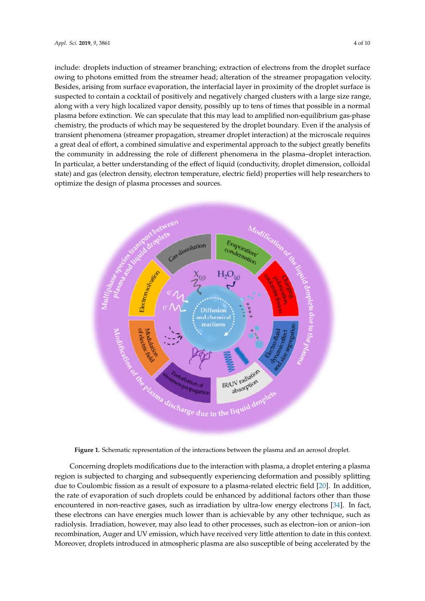include: droplets induction of streamer branching; extraction of electrons from the droplet surface owing to photons emitted from the streamer head; alteration of the streamer propagation velocity. Besides, arising from surface evaporation, the interfacial layer in proximity of the droplet surface is suspected to contain a cocktail of positively and negatively charged clusters with a large size range, along with a very high localized vapor density, possibly up to tens of times that possible in a normal plasma before extinction. We can speculate that this may lead to amplified non-equilibrium gas-phase chemistry, the products of which may be sequestered by the droplet boundary. Even if the analysis of transient phenomena (streamer propagation, streamer droplet interaction) at the microscale requires a great deal of effort, a combined simulative and experimental approach to the subject greatly benefits the community in addressing the role of different phenomena in the plasma–droplet interaction. In particular, a better understanding of the effect of liquid (conductivity, droplet dimension, colloidal state) and gas (electron density, electron temperature, electric field) properties will help researchers to optimize the design of plasma processes and sources.

<span id="page-3-0"></span>

**Figure 1.** Schematic representation of the interactions between the plasma and an aerosol droplet*.* **Figure 1.** Schematic representation of the interactions between the plasma and an aerosol droplet.

Concerning droplets modifications due to the interaction with plasma, a droplet entering a plasma region is subjected to charging and subsequently experiencing deformation and possibly splitting due to Coulombic fission as a result of exposure to a plasma-related electric field [\[20\]](#page-7-6). In addition, the rate of evaporation of such droplets could be enhanced by additional factors other than those encountered in non-reactive gases, such as irradiation by ultra-low energy electrons [\[34\]](#page-7-17). In fact, these electrons can have energies much lower than is achievable by any other technique, such as radiolysis. Irradiation, however, may also lead to other processes, such as electron–ion or anion–ion recombination, Auger and UV emission, which have received very little attention to date in this context. Moreover, droplets introduced in atmospheric plasma are also susceptible of being accelerated by the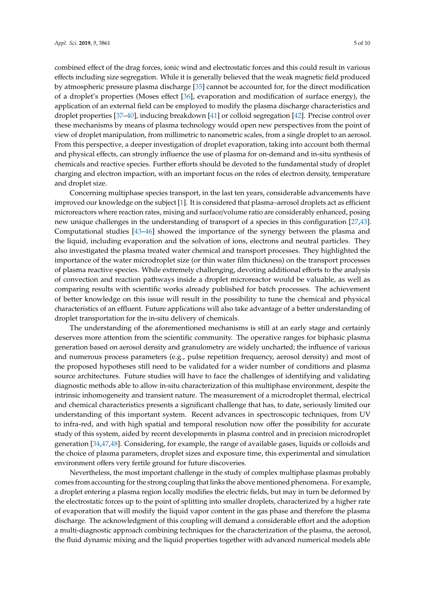combined effect of the drag forces, ionic wind and electrostatic forces and this could result in various effects including size segregation. While it is generally believed that the weak magnetic field produced by atmospheric pressure plasma discharge [\[35\]](#page-8-0) cannot be accounted for, for the direct modification of a droplet's properties (Moses effect [\[36\]](#page-8-1), evaporation and modification of surface energy), the application of an external field can be employed to modify the plasma discharge characteristics and droplet properties [\[37–](#page-8-2)[40\]](#page-8-3), inducing breakdown [\[41\]](#page-8-4) or colloid segregation [\[42\]](#page-8-5). Precise control over these mechanisms by means of plasma technology would open new perspectives from the point of view of droplet manipulation, from millimetric to nanometric scales, from a single droplet to an aerosol. From this perspective, a deeper investigation of droplet evaporation, taking into account both thermal and physical effects, can strongly influence the use of plasma for on-demand and in-situ synthesis of chemicals and reactive species. Further efforts should be devoted to the fundamental study of droplet charging and electron impaction, with an important focus on the roles of electron density, temperature and droplet size.

Concerning multiphase species transport, in the last ten years, considerable advancements have improved our knowledge on the subject [\[1\]](#page-6-0). It is considered that plasma–aerosol droplets act as efficient microreactors where reaction rates, mixing and surface/volume ratio are considerably enhanced, posing new unique challenges in the understanding of transport of a species in this configuration [\[27,](#page-7-10)[43\]](#page-8-6). Computational studies [\[43](#page-8-6)[–46\]](#page-8-7) showed the importance of the synergy between the plasma and the liquid, including evaporation and the solvation of ions, electrons and neutral particles. They also investigated the plasma treated water chemical and transport processes. They highlighted the importance of the water microdroplet size (or thin water film thickness) on the transport processes of plasma reactive species. While extremely challenging, devoting additional efforts to the analysis of convection and reaction pathways inside a droplet microreactor would be valuable, as well as comparing results with scientific works already published for batch processes. The achievement of better knowledge on this issue will result in the possibility to tune the chemical and physical characteristics of an effluent. Future applications will also take advantage of a better understanding of droplet transportation for the in-situ delivery of chemicals.

The understanding of the aforementioned mechanisms is still at an early stage and certainly deserves more attention from the scientific community. The operative ranges for biphasic plasma generation based on aerosol density and granulometry are widely uncharted; the influence of various and numerous process parameters (e.g., pulse repetition frequency, aerosol density) and most of the proposed hypotheses still need to be validated for a wider number of conditions and plasma source architectures. Future studies will have to face the challenges of identifying and validating diagnostic methods able to allow in-situ characterization of this multiphase environment, despite the intrinsic inhomogeneity and transient nature. The measurement of a microdroplet thermal, electrical and chemical characteristics presents a significant challenge that has, to date, seriously limited our understanding of this important system. Recent advances in spectroscopic techniques, from UV to infra-red, and with high spatial and temporal resolution now offer the possibility for accurate study of this system, aided by recent developments in plasma control and in precision microdroplet generation [\[34,](#page-7-17)[47](#page-8-8)[,48\]](#page-8-9). Considering, for example, the range of available gases, liquids or colloids and the choice of plasma parameters, droplet sizes and exposure time, this experimental and simulation environment offers very fertile ground for future discoveries.

Nevertheless, the most important challenge in the study of complex multiphase plasmas probably comes from accounting for the strong coupling that links the above mentioned phenomena. For example, a droplet entering a plasma region locally modifies the electric fields, but may in turn be deformed by the electrostatic forces up to the point of splitting into smaller droplets, characterized by a higher rate of evaporation that will modify the liquid vapor content in the gas phase and therefore the plasma discharge. The acknowledgment of this coupling will demand a considerable effort and the adoption a multi-diagnostic approach combining techniques for the characterization of the plasma, the aerosol, the fluid dynamic mixing and the liquid properties together with advanced numerical models able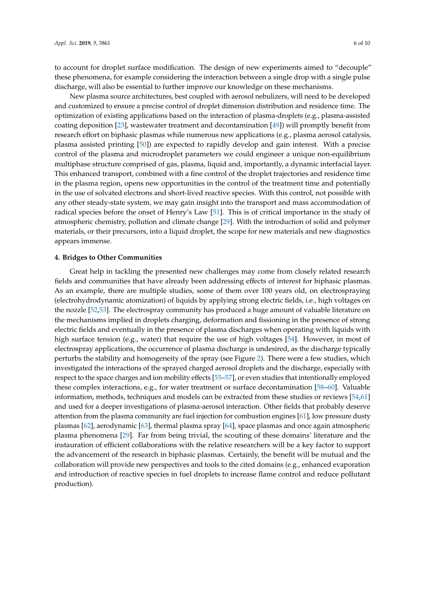to account for droplet surface modification. The design of new experiments aimed to "decouple" these phenomena, for example considering the interaction between a single drop with a single pulse discharge, will also be essential to further improve our knowledge on these mechanisms.

New plasma source architectures, best coupled with aerosol nebulizers, will need to be developed and customized to ensure a precise control of droplet dimension distribution and residence time. The optimization of existing applications based on the interaction of plasma-droplets (e.g., plasma-assisted coating deposition [\[23\]](#page-7-8), wastewater treatment and decontamination [\[49\]](#page-8-10)) will promptly benefit from research effort on biphasic plasmas while numerous new applications (e.g., plasma aerosol catalysis, plasma assisted printing [\[50\]](#page-8-11)) are expected to rapidly develop and gain interest. With a precise control of the plasma and microdroplet parameters we could engineer a unique non-equilibrium multiphase structure comprised of gas, plasma, liquid and, importantly, a dynamic interfacial layer. This enhanced transport, combined with a fine control of the droplet trajectories and residence time in the plasma region, opens new opportunities in the control of the treatment time and potentially in the use of solvated electrons and short-lived reactive species. With this control, not possible with any other steady-state system, we may gain insight into the transport and mass accommodation of radical species before the onset of Henry's Law [\[51\]](#page-8-12). This is of critical importance in the study of atmospheric chemistry, pollution and climate change [\[29\]](#page-7-12). With the introduction of solid and polymer materials, or their precursors, into a liquid droplet, the scope for new materials and new diagnostics appears immense.

#### **4. Bridges to Other Communities**

Great help in tackling the presented new challenges may come from closely related research fields and communities that have already been addressing effects of interest for biphasic plasmas. As an example, there are multiple studies, some of them over 100 years old, on electrospraying (electrohydrodynamic atomization) of liquids by applying strong electric fields, i.e., high voltages on the nozzle [\[52,](#page-8-13)[53\]](#page-8-14). The electrospray community has produced a huge amount of valuable literature on the mechanisms implied in droplets charging, deformation and fissioning in the presence of strong electric fields and eventually in the presence of plasma discharges when operating with liquids with high surface tension (e.g., water) that require the use of high voltages [\[54\]](#page-8-15). However, in most of electrospray applications, the occurrence of plasma discharge is undesired, as the discharge typically perturbs the stability and homogeneity of the spray (see Figure [2\)](#page-6-9). There were a few studies, which investigated the interactions of the sprayed charged aerosol droplets and the discharge, especially with respect to the space charges and ion mobility effects [\[55](#page-8-16)[–57\]](#page-8-17), or even studies that intentionally employed these complex interactions, e.g., for water treatment or surface decontamination [\[58](#page-8-18)[–60\]](#page-9-0). Valuable information, methods, techniques and models can be extracted from these studies or reviews [\[54](#page-8-15)[,61\]](#page-9-1) and used for a deeper investigations of plasma-aerosol interaction. Other fields that probably deserve attention from the plasma community are fuel injection for combustion engines [\[61\]](#page-9-1), low pressure dusty plasmas [\[62\]](#page-9-2), aerodynamic [\[63\]](#page-9-3), thermal plasma spray [\[64\]](#page-9-4), space plasmas and once again atmospheric plasma phenomena [\[29\]](#page-7-12). Far from being trivial, the scouting of these domains' literature and the instauration of efficient collaborations with the relative researchers will be a key factor to support the advancement of the research in biphasic plasmas. Certainly, the benefit will be mutual and the collaboration will provide new perspectives and tools to the cited domains (e.g., enhanced evaporation and introduction of reactive species in fuel droplets to increase flame control and reduce pollutant production).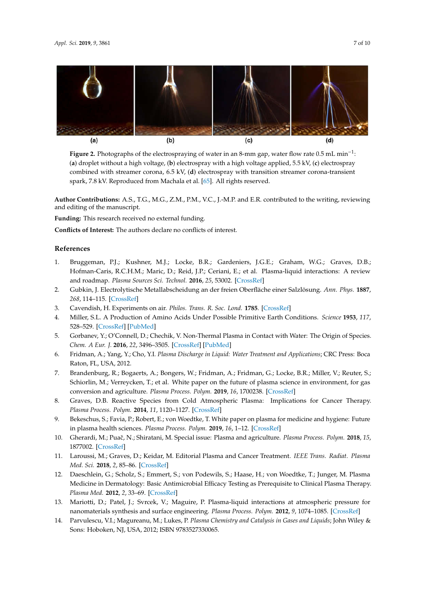<span id="page-6-9"></span>

(a) droplet without a high voltage, (b) electrospray with a high voltage applied, 5.5 kV, (c) electrospray combined with streamer corona, 6.5 kV, (**d**) electrospray with transition streamer corona-transient spark, 7.8 kV. Reproduced from Machala et al. [65]. All rights reserved. **Figure 2.** Photographs of the electrospraying of water in an 8-mm gap, water flow rate 0.5 mL min−<sup>1</sup> :

and editing of the manuscript. *Authorities*  $\mathbf{A}$  and  $\mathbf{B}$  and  $\mathbf{B}$  and  $\mathbf{B}$  and  $\mathbf{B}$  and  $\mathbf{B}$  and  $\mathbf{B}$  and  $\mathbf{B}$  and  $\mathbf{B}$  and  $\mathbf{B}$  and  $\mathbf{B}$  and  $\mathbf{B}$  and  $\mathbf{B}$  and  $\mathbf{B$ **Author Contributions:** A.S., T.G., M.G., Z.M., P.M., V.C., J.-M.P. and E.R. contributed to the writing, reviewing

Funding: This research received no external funding.

**Conflicts of Interest:** The authors declare no conflicts of interest.

#### **Conflicts of Interest:** The authors declare no conflicts of interest. **References**

- <span id="page-6-0"></span>1. Bruggeman, P.J.; Kushner, M.J.; Locke, B.R.; Gardeniers, J.G.E.; Graham, W.G.; Graves, D.B.; Hofman-Caris, R.C.H.M.; Maric, D.; Reid, J.P.; Ceriani, E.; et al. Plasma-liquid interactions: A review and roadmap. *Plasma Sources Sci. Technol.* **2016**, 25, 53002. [\[CrossRef\]](http://dx.doi.org/10.1088/0963-0252/25/5/053002)
- <span id="page-6-1"></span>*Sources Sci. Technol.* **2016**, *25*, 53002. 2. Gubkin, J. Electrolytische Metallabscheidung an der freien Oberfläche einer Salzlösung. *Ann. Phys.* **1887**, 2. Gubkin, J. Electrolytische Metallabscheidung an der freien Oberfläche einer Salzlösung. *Ann. Phys.* **1887**, *268*, 114–115. [\[CrossRef\]](http://dx.doi.org/10.1002/andp.18872680909)
- <span id="page-6-2"></span>*268*, 114–115. 3. Cavendish, H. Experiments on air. *Philos. Trans. R. Soc. Lond.* **1785**. [\[CrossRef\]](http://dx.doi.org/10.1098/rstl.1785.0023)
- <span id="page-6-3"></span>4. Miller, S.L. A Production of Amino Acids Under Possible Primitive Earth Conditions. *Science* 1953, 117, 4. Miller, S.L. A Production of Amino Acids Under Possible Primitive Earth Conditions. *Science* **1953**, *117*, 528–529. [\[CrossRef\]](http://dx.doi.org/10.1126/science.117.3046.528) [\[PubMed\]](http://www.ncbi.nlm.nih.gov/pubmed/13056598)
- <span id="page-6-4"></span>5. Gorbanev, Y.; O'Connell, D.; Chechik, V. Non-Thermal Plasma in Contact with Water: The Origin of Species. *Chem. A Eur. J.* **2016**, 22, 3496–3505. [\[CrossRef\]](http://dx.doi.org/10.1002/chem.201503771) [\[PubMed\]](http://www.ncbi.nlm.nih.gov/pubmed/26833560)
- <span id="page-6-5"></span>*Chem. A Eur. J.* **2016**, *22*, 3496–3505. 6. Fridman, A.; Yang, Y.; Cho, Y.I. *Plasma Discharge in Liquid: Water Treatment and Applications*; CRC Press: Boca 6. Fridman, A.; Yang, Y.; Cho, Y.I. *Plasma Discharge in Liquid: Water Treatment and Applications*; CRC Press: Raton, FL, USA, 2012.
- <span id="page-6-6"></span>7. Brandenburg, R.; Bogaerts, A.; Bongers, W.; Fridman, A.; Fridman, G.; Locke, B.R.; Miller, V.; Reuter, S.;<br>. Schiorlin, M.; Verreycken, T.; et al. White paper on the future of plasma science in environment, for gas conversion and agriculture. *Plasma Process. Polym.* **2019**, 16, 1700238. [\[CrossRef\]](http://dx.doi.org/10.1002/ppap.201700238)<br>conversion and agriculture. *Plasma Process. Polym.* **2019**, 16, 1700238. [CrossRef]
- <span id="page-6-7"></span>8. Graves, D.B. Reactive Species from Cold Atmospheric Plasma: Implications for Cancer Therapy. 8. Graves, D.B. Reactive Species from Cold Atmospheric Plasma: Implications for Cancer Therapy. **Plasma** *Plasma* **Plasma** *Plasma* **Plasma Plasma Plasma Plasma** *Plasma**Plasma**Plasma**Plasma**Plasma**Plasma**Plasma Process. Polym.* **2014**, *11*, 1120–1127. [\[CrossRef\]](http://dx.doi.org/10.1002/ppap.201400068)
- <span id="page-6-8"></span>*Process. Polym.* **2014**, *11*, 1120–1127. 9. Bekeschus, S.; Favia, P.; Robert, E.; von Woedtke, T. White paper on plasma for medicine and hygiene: Future  $\frac{1}{2}$  Bekeschus, S.; Favia, P.; Robert, E.;  $\frac{1}{2}$  , T.;  $\frac{1}{2}$  ,  $\frac{1}{2}$  ,  $\frac{1}{2}$  ,  $\frac{1}{2}$  ,  $\frac{1}{2}$  ,  $\frac{1}{2}$  ,  $\frac{1}{2}$  ,  $\frac{1}{2}$  ,  $\frac{1}{2}$  ,  $\frac{1}{2}$  ,  $\frac{1}{2}$  ,  $\frac{1}{2}$  ,  $\frac{1}{2}$  , in plasma health sciences. *Plasma Process. Polym.* **2019**, *16*, 1–12. [\[CrossRef\]](http://dx.doi.org/10.1002/ppap.201800033)
- Future in plasma health sciences. *Plasma Process. Polym.* **2019**, *16*, 1–12. 10. Gherardi, M.; Puaˇc, N.; Shiratani, M. Special issue: Plasma and agriculture. *Plasma Process. Polym.* **2018**, *15*, 10. Gherardi, M.; Puač, N.; Shiratani, M. Special issue: Plasma and agriculture. *Plasma Process. Polym.* **2018**, *15*, 1877002. [\[CrossRef\]](http://dx.doi.org/10.1002/ppap.201877002)
- 11. Laroussi, M.; Graves, D.; Keidar, M. Editorial Plasma and Cancer Treatment. *IEEE Trans. Radiat. Plasma*<br>2008. A care a care a care a care a care a care a care a care a care a care a care a care a care a care a care *Med. Sci.* **2018**, *2*, 85–86. [\[CrossRef\]](http://dx.doi.org/10.1109/TRPMS.2018.2803458)
- 11. Laroussi, M.; Graves, D.; Keidar, M. Editorial Plasma and Cancer Treatment. *IEEE Trans. Radiat. Plasma*  12. Daeschlein, G.; Scholz, S.; Emmert, S.; von Podewils, S.; Haase, H.; von Woedtke, T.; Junger, M. Plasma *Med. Sci.* **2018**, *2*, 85–86. Medicine in Dermatology: Basic Antimicrobial Efficacy Testing as Prerequisite to Clinical Plasma Therapy.<br>Note in 2002, 2020, 2020, Fig. and Clinical Plasma Theory in The Plasma Theory in The Plasma Theory. *Plasma Med.* **2012**, *2*, 33–69. [\[CrossRef\]](http://dx.doi.org/10.1615/PlasmaMed.2014006217)
- 13. Mariotti, D.; Patel, J.; Svrcek, V.; Maguire, P. Plasma-liquid interactions at atmospheric pressure for *Plasma Med.* **2012**, *2*, 33–69. nanomaterials synthesis and surface engineering. *Plasma Process. Polym.* **2012**, *9*, 1074–1085. [\[CrossRef\]](http://dx.doi.org/10.1002/ppap.201200007)
- $13. \text{M}$  Mariotheody and state original interactions at atoms at atmospheric pressure for  $\frac{1}{2}$ 14. Parvulescu, V.I.; Magureanu, M.; Lukes, P. Plasma Chemistry and Catalysis in Gases and Liquids; John Wiley &<br>Carely Mark 1971, 1971, 2012, 1971, 2000, 2002, 2003, 2004 Sons: Hoboken, NJ, USA, 2012; ISBN 9783527330065.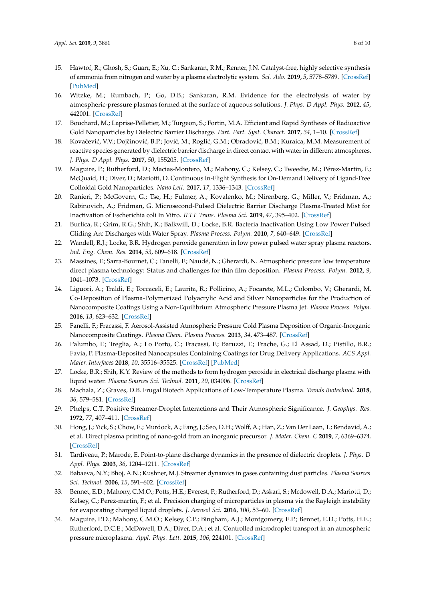- <span id="page-7-0"></span>15. Hawtof, R.; Ghosh, S.; Guarr, E.; Xu, C.; Sankaran, R.M.; Renner, J.N. Catalyst-free, highly selective synthesis of ammonia from nitrogen and water by a plasma electrolytic system. *Sci. Adv.* **2019**, *5*, 5778–5789. [\[CrossRef\]](http://dx.doi.org/10.1126/sciadv.aat5778) [\[PubMed\]](http://www.ncbi.nlm.nih.gov/pubmed/30746439)
- <span id="page-7-1"></span>16. Witzke, M.; Rumbach, P.; Go, D.B.; Sankaran, R.M. Evidence for the electrolysis of water by atmospheric-pressure plasmas formed at the surface of aqueous solutions. *J. Phys. D Appl. Phys.* **2012**, *45*, 442001. [\[CrossRef\]](http://dx.doi.org/10.1088/0022-3727/45/44/442001)
- <span id="page-7-2"></span>17. Bouchard, M.; Laprise-Pelletier, M.; Turgeon, S.; Fortin, M.A. Efficient and Rapid Synthesis of Radioactive Gold Nanoparticles by Dielectric Barrier Discharge. *Part. Part. Syst. Charact.* **2017**, *34*, 1–10. [\[CrossRef\]](http://dx.doi.org/10.1002/ppsc.201600231)
- <span id="page-7-3"></span>18. Kovačević, V.V.; Dojčinović, B.P.; Jović, M.; Roglić, G.M.; Obradović, B.M.; Kuraica, M.M. Measurement of reactive species generated by dielectric barrier discharge in direct contact with water in different atmospheres. *J. Phys. D Appl. Phys.* **2017**, *50*, 155205. [\[CrossRef\]](http://dx.doi.org/10.1088/1361-6463/aa5fde)
- <span id="page-7-4"></span>19. Maguire, P.; Rutherford, D.; Macias-Montero, M.; Mahony, C.; Kelsey, C.; Tweedie, M.; Pérez-Martin, F.; McQuaid, H.; Diver, D.; Mariotti, D. Continuous In-Flight Synthesis for On-Demand Delivery of Ligand-Free Colloidal Gold Nanoparticles. *Nano Lett.* **2017**, *17*, 1336–1343. [\[CrossRef\]](http://dx.doi.org/10.1021/acs.nanolett.6b03440)
- <span id="page-7-6"></span>20. Ranieri, P.; McGovern, G.; Tse, H.; Fulmer, A.; Kovalenko, M.; Nirenberg, G.; Miller, V.; Fridman, A.; Rabinovich, A.; Fridman, G. Microsecond-Pulsed Dielectric Barrier Discharge Plasma-Treated Mist for Inactivation of Escherichia coli In Vitro. *IEEE Trans. Plasma Sci.* **2019**, *47*, 395–402. [\[CrossRef\]](http://dx.doi.org/10.1109/TPS.2018.2878971)
- <span id="page-7-5"></span>21. Burlica, R.; Grim, R.G.; Shih, K.; Balkwill, D.; Locke, B.R. Bacteria Inactivation Using Low Power Pulsed Gliding Arc Discharges with Water Spray. *Plasma Process. Polym.* **2010**, *7*, 640–649. [\[CrossRef\]](http://dx.doi.org/10.1002/ppap.200900183)
- <span id="page-7-7"></span>22. Wandell, R.J.; Locke, B.R. Hydrogen peroxide generation in low power pulsed water spray plasma reactors. *Ind. Eng. Chem. Res.* **2014**, *53*, 609–618. [\[CrossRef\]](http://dx.doi.org/10.1021/ie402766t)
- <span id="page-7-8"></span>23. Massines, F.; Sarra-Bournet, C.; Fanelli, F.; Naudé, N.; Gherardi, N. Atmospheric pressure low temperature direct plasma technology: Status and challenges for thin film deposition. *Plasma Process. Polym.* **2012**, *9*, 1041–1073. [\[CrossRef\]](http://dx.doi.org/10.1002/ppap.201200029)
- 24. Liguori, A.; Traldi, E.; Toccaceli, E.; Laurita, R.; Pollicino, A.; Focarete, M.L.; Colombo, V.; Gherardi, M. Co-Deposition of Plasma-Polymerized Polyacrylic Acid and Silver Nanoparticles for the Production of Nanocomposite Coatings Using a Non-Equilibrium Atmospheric Pressure Plasma Jet. *Plasma Process. Polym.* **2016**, *13*, 623–632. [\[CrossRef\]](http://dx.doi.org/10.1002/ppap.201500143)
- 25. Fanelli, F.; Fracassi, F. Aerosol-Assisted Atmospheric Pressure Cold Plasma Deposition of Organic-Inorganic Nanocomposite Coatings. *Plasma Chem. Plasma Process.* **2013**, *34*, 473–487. [\[CrossRef\]](http://dx.doi.org/10.1007/s11090-013-9518-9)
- <span id="page-7-9"></span>26. Palumbo, F.; Treglia, A.; Lo Porto, C.; Fracassi, F.; Baruzzi, F.; Frache, G.; El Assad, D.; Pistillo, B.R.; Favia, P. Plasma-Deposited Nanocapsules Containing Coatings for Drug Delivery Applications. *ACS Appl. Mater. Interfaces* **2018**, *10*, 35516–35525. [\[CrossRef\]](http://dx.doi.org/10.1021/acsami.8b11504) [\[PubMed\]](http://www.ncbi.nlm.nih.gov/pubmed/30231206)
- <span id="page-7-10"></span>27. Locke, B.R.; Shih, K.Y. Review of the methods to form hydrogen peroxide in electrical discharge plasma with liquid water. *Plasma Sources Sci. Technol.* **2011**, *20*, 034006. [\[CrossRef\]](http://dx.doi.org/10.1088/0963-0252/20/3/034006)
- <span id="page-7-11"></span>28. Machala, Z.; Graves, D.B. Frugal Biotech Applications of Low-Temperature Plasma. *Trends Biotechnol.* **2018**, *36*, 579–581. [\[CrossRef\]](http://dx.doi.org/10.1016/j.tibtech.2017.07.013)
- <span id="page-7-12"></span>29. Phelps, C.T. Positive Streamer-Droplet Interactions and Their Atmospheric Significance. *J. Geophys. Res.* **1972**, *77*, 407–411. [\[CrossRef\]](http://dx.doi.org/10.1029/JC077i003p00407)
- <span id="page-7-13"></span>30. Hong, J.; Yick, S.; Chow, E.; Murdock, A.; Fang, J.; Seo, D.H.; Wolff, A.; Han, Z.; Van Der Laan, T.; Bendavid, A.; et al. Direct plasma printing of nano-gold from an inorganic precursor. *J. Mater. Chem. C* **2019**, *7*, 6369–6374. [\[CrossRef\]](http://dx.doi.org/10.1039/C9TC01808E)
- <span id="page-7-14"></span>31. Tardiveau, P.; Marode, E. Point-to-plane discharge dynamics in the presence of dielectric droplets. *J. Phys. D Appl. Phys.* **2003**, *36*, 1204–1211. [\[CrossRef\]](http://dx.doi.org/10.1088/0022-3727/36/10/309)
- <span id="page-7-15"></span>32. Babaeva, N.Y.; Bhoj, A.N.; Kushner, M.J. Streamer dynamics in gases containing dust particles. *Plasma Sources Sci. Technol.* **2006**, *15*, 591–602. [\[CrossRef\]](http://dx.doi.org/10.1088/0963-0252/15/4/001)
- <span id="page-7-16"></span>33. Bennet, E.D.; Mahony, C.M.O.; Potts, H.E.; Everest, P.; Rutherford, D.; Askari, S.; Mcdowell, D.A.; Mariotti, D.; Kelsey, C.; Perez-martin, F.; et al. Precision charging of microparticles in plasma via the Rayleigh instability for evaporating charged liquid droplets. *J. Aerosol Sci.* **2016**, *100*, 53–60. [\[CrossRef\]](http://dx.doi.org/10.1016/j.jaerosci.2016.05.002)
- <span id="page-7-17"></span>34. Maguire, P.D.; Mahony, C.M.O.; Kelsey, C.P.; Bingham, A.J.; Montgomery, E.P.; Bennet, E.D.; Potts, H.E.; Rutherford, D.C.E.; McDowell, D.A.; Diver, D.A.; et al. Controlled microdroplet transport in an atmospheric pressure microplasma. *Appl. Phys. Lett.* **2015**, *106*, 224101. [\[CrossRef\]](http://dx.doi.org/10.1063/1.4922034)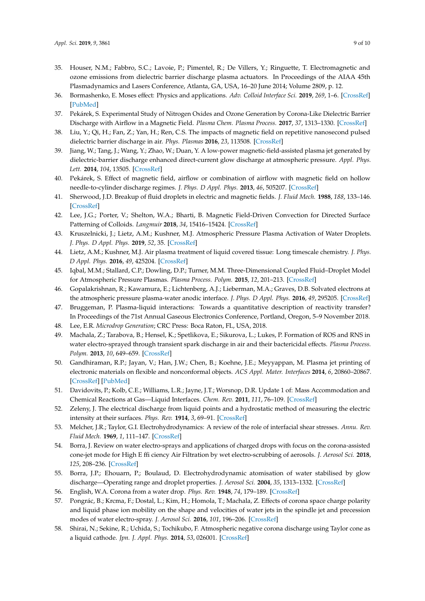- <span id="page-8-0"></span>35. Houser, N.M.; Fabbro, S.C.; Lavoie, P.; Pimentel, R.; De Villers, Y.; Ringuette, T. Electromagnetic and ozone emissions from dielectric barrier discharge plasma actuators. In Proceedings of the AIAA 45th Plasmadynamics and Lasers Conference, Atlanta, GA, USA, 16–20 June 2014; Volume 2809, p. 12.
- <span id="page-8-1"></span>36. Bormashenko, E. Moses effect: Physics and applications. *Adv. Colloid Interface Sci.* **2019**, *269*, 1–6. [\[CrossRef\]](http://dx.doi.org/10.1016/j.cis.2019.04.003) [\[PubMed\]](http://www.ncbi.nlm.nih.gov/pubmed/31026760)
- <span id="page-8-2"></span>37. Pekárek, S. Experimental Study of Nitrogen Oxides and Ozone Generation by Corona-Like Dielectric Barrier Discharge with Airflow in a Magnetic Field. *Plasma Chem. Plasma Process.* **2017**, *37*, 1313–1330. [\[CrossRef\]](http://dx.doi.org/10.1007/s11090-017-9831-9)
- 38. Liu, Y.; Qi, H.; Fan, Z.; Yan, H.; Ren, C.S. The impacts of magnetic field on repetitive nanosecond pulsed dielectric barrier discharge in air. *Phys. Plasmas* **2016**, *23*, 113508. [\[CrossRef\]](http://dx.doi.org/10.1063/1.4968233)
- 39. Jiang, W.; Tang, J.; Wang, Y.; Zhao, W.; Duan, Y. A low-power magnetic-field-assisted plasma jet generated by dielectric-barrier discharge enhanced direct-current glow discharge at atmospheric pressure. *Appl. Phys. Lett.* **2014**, *104*, 13505. [\[CrossRef\]](http://dx.doi.org/10.1063/1.4861162)
- <span id="page-8-3"></span>40. Pekárek, S. Effect of magnetic field, airflow or combination of airflow with magnetic field on hollow needle-to-cylinder discharge regimes. *J. Phys. D Appl. Phys.* **2013**, *46*, 505207. [\[CrossRef\]](http://dx.doi.org/10.1088/0022-3727/46/50/505207)
- <span id="page-8-4"></span>41. Sherwood, J.D. Breakup of fluid droplets in electric and magnetic fields. *J. Fluid Mech.* **1988**, *188*, 133–146. [\[CrossRef\]](http://dx.doi.org/10.1017/S0022112088000667)
- <span id="page-8-5"></span>42. Lee, J.G.; Porter, V.; Shelton, W.A.; Bharti, B. Magnetic Field-Driven Convection for Directed Surface Patterning of Colloids. *Langmuir* **2018**, *34*, 15416–15424. [\[CrossRef\]](http://dx.doi.org/10.1021/acs.langmuir.8b03232)
- <span id="page-8-6"></span>43. Kruszelnicki, J.; Lietz, A.M.; Kushner, M.J. Atmospheric Pressure Plasma Activation of Water Droplets. *J. Phys. D Appl. Phys.* **2019**, *52*, 35. [\[CrossRef\]](http://dx.doi.org/10.1088/1361-6463/ab25dc)
- 44. Lietz, A.M.; Kushner, M.J. Air plasma treatment of liquid covered tissue: Long timescale chemistry. *J. Phys. D Appl. Phys.* **2016**, *49*, 425204. [\[CrossRef\]](http://dx.doi.org/10.1088/0022-3727/49/42/425204)
- 45. Iqbal, M.M.; Stallard, C.P.; Dowling, D.P.; Turner, M.M. Three-Dimensional Coupled Fluid–Droplet Model for Atmospheric Pressure Plasmas. *Plasma Process. Polym.* **2015**, *12*, 201–213. [\[CrossRef\]](http://dx.doi.org/10.1002/ppap.201400107)
- <span id="page-8-7"></span>46. Gopalakrishnan, R.; Kawamura, E.; Lichtenberg, A.J.; Lieberman, M.A.; Graves, D.B. Solvated electrons at the atmospheric pressure plasma-water anodic interface. *J. Phys. D Appl. Phys.* **2016**, *49*, 295205. [\[CrossRef\]](http://dx.doi.org/10.1088/0022-3727/49/29/295205)
- <span id="page-8-8"></span>47. Bruggeman, P. Plasma-liquid interactions: Towards a quantitative description of reactivity transfer? In Proceedings of the 71st Annual Gaseous Electronics Conference, Portland, Oregon, 5–9 November 2018.
- <span id="page-8-10"></span><span id="page-8-9"></span>48. Lee, E.R. *Microdrop Generation*; CRC Press: Boca Raton, FL, USA, 2018.
- 49. Machala, Z.; Tarabova, B.; Hensel, K.; Spetlikova, E.; Sikurova, L.; Lukes, P. Formation of ROS and RNS in water electro-sprayed through transient spark discharge in air and their bactericidal effects. *Plasma Process. Polym.* **2013**, *10*, 649–659. [\[CrossRef\]](http://dx.doi.org/10.1002/ppap.201200113)
- <span id="page-8-11"></span>50. Gandhiraman, R.P.; Jayan, V.; Han, J.W.; Chen, B.; Koehne, J.E.; Meyyappan, M. Plasma jet printing of electronic materials on flexible and nonconformal objects. *ACS Appl. Mater. Interfaces* **2014**, *6*, 20860–20867. [\[CrossRef\]](http://dx.doi.org/10.1021/am505325y) [\[PubMed\]](http://www.ncbi.nlm.nih.gov/pubmed/25398024)
- <span id="page-8-12"></span>51. Davidovits, P.; Kolb, C.E.; Williams, L.R.; Jayne, J.T.; Worsnop, D.R. Update 1 of: Mass Accommodation and Chemical Reactions at Gas—Liquid Interfaces. *Chem. Rev.* **2011**, *111*, 76–109. [\[CrossRef\]](http://dx.doi.org/10.1021/cr100360b)
- <span id="page-8-13"></span>52. Zeleny, J. The electrical discharge from liquid points and a hydrostatic method of measuring the electric intensity at their surfaces. *Phys. Rev.* **1914**, *3*, 69–91. [\[CrossRef\]](http://dx.doi.org/10.1103/PhysRev.3.69)
- <span id="page-8-14"></span>53. Melcher, J.R.; Taylor, G.I. Electrohydrodynamics: A review of the role of interfacial shear stresses. *Annu. Rev. Fluid Mech.* **1969**, *1*, 111–147. [\[CrossRef\]](http://dx.doi.org/10.1146/annurev.fl.01.010169.000551)
- <span id="page-8-15"></span>54. Borra, J. Review on water electro-sprays and applications of charged drops with focus on the corona-assisted cone-jet mode for High E ffi ciency Air Filtration by wet electro-scrubbing of aerosols. *J. Aerosol Sci.* **2018**, *125*, 208–236. [\[CrossRef\]](http://dx.doi.org/10.1016/j.jaerosci.2018.04.005)
- <span id="page-8-16"></span>55. Borra, J.P.; Ehouarn, P.; Boulaud, D. Electrohydrodynamic atomisation of water stabilised by glow discharge—Operating range and droplet properties. *J. Aerosol Sci.* **2004**, *35*, 1313–1332. [\[CrossRef\]](http://dx.doi.org/10.1016/j.jaerosci.2004.05.011)
- 56. English, W.A. Corona from a water drop. *Phys. Rev.* **1948**, *74*, 179–189. [\[CrossRef\]](http://dx.doi.org/10.1103/PhysRev.74.179)
- <span id="page-8-17"></span>57. Pongrác, B.; Krcma, F.; Dostal, L.; Kim, H.; Homola, T.; Machala, Z. Effects of corona space charge polarity and liquid phase ion mobility on the shape and velocities of water jets in the spindle jet and precession modes of water electro-spray. *J. Aerosol Sci.* **2016**, *101*, 196–206. [\[CrossRef\]](http://dx.doi.org/10.1016/j.jaerosci.2016.08.008)
- <span id="page-8-18"></span>58. Shirai, N.; Sekine, R.; Uchida, S.; Tochikubo, F. Atmospheric negative corona discharge using Taylor cone as a liquid cathode. *Jpn. J. Appl. Phys.* **2014**, *53*, 026001. [\[CrossRef\]](http://dx.doi.org/10.7567/JJAP.53.026001)